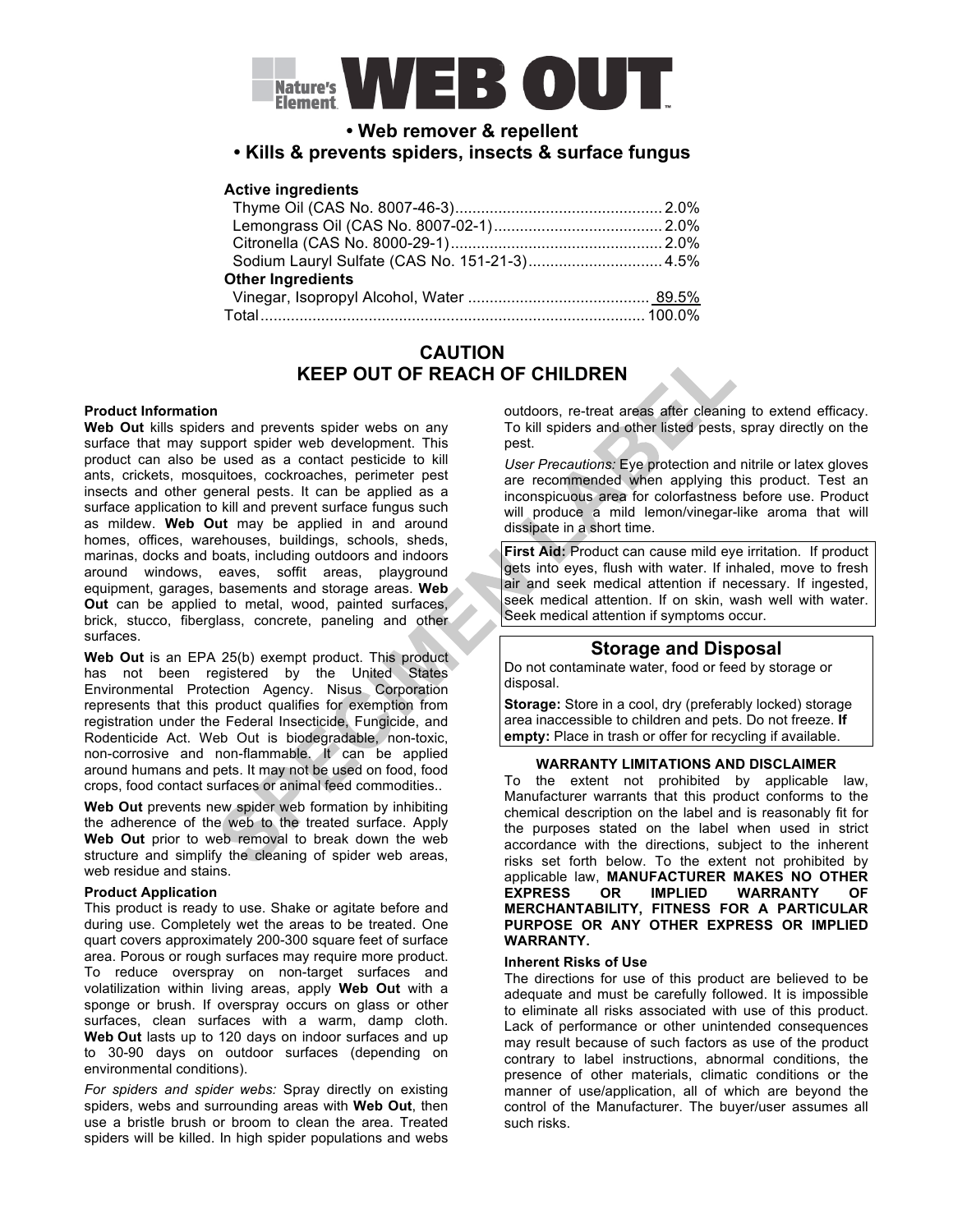

# **• Web remover & repellent**

## **• Kills & prevents spiders, insects & surface fungus**

### **Active ingredients**

| Sodium Lauryl Sulfate (CAS No. 151-21-3) 4.5% |  |
|-----------------------------------------------|--|
| <b>Other Ingredients</b>                      |  |
|                                               |  |
| Total……………………………………………………………………………… 100.0%    |  |

# **CAUTION KEEP OUT OF REACH OF CHILDREN**

### **Product Information**

**Web Out** kills spiders and prevents spider webs on any surface that may support spider web development. This product can also be used as a contact pesticide to kill ants, crickets, mosquitoes, cockroaches, perimeter pest insects and other general pests. It can be applied as a surface application to kill and prevent surface fungus such as mildew. **Web Out** may be applied in and around homes, offices, warehouses, buildings, schools, sheds, marinas, docks and boats, including outdoors and indoors around windows, eaves, soffit areas, playground equipment, garages, basements and storage areas. **Web Out** can be applied to metal, wood, painted surfaces, brick, stucco, fiberglass, concrete, paneling and other surfaces.

Web Out is an EPA 25(b) exempt product. This product has not been registered by the United States Environmental Protection Agency. Nisus Corporation represents that this product qualifies for exemption from registration under the Federal Insecticide, Fungicide, and Rodenticide Act. Web Out is biodegradable, non-toxic, non-corrosive and non-flammable. It can be applied around humans and pets. It may not be used on food, food crops, food contact surfaces or animal feed commodities..

**Web Out** prevents new spider web formation by inhibiting the adherence of the web to the treated surface. Apply **Web Out** prior to web removal to break down the web structure and simplify the cleaning of spider web areas, web residue and stains.

### **Product Application**

This product is ready to use. Shake or agitate before and during use. Completely wet the areas to be treated. One quart covers approximately 200-300 square feet of surface area. Porous or rough surfaces may require more product. To reduce overspray on non-target surfaces and volatilization within living areas, apply **Web Out** with a sponge or brush. If overspray occurs on glass or other surfaces, clean surfaces with a warm, damp cloth. **Web Out** lasts up to 120 days on indoor surfaces and up to 30-90 days on outdoor surfaces (depending on environmental conditions).

*For spiders and spider webs:* Spray directly on existing spiders, webs and surrounding areas with **Web Out**, then use a bristle brush or broom to clean the area. Treated spiders will be killed. In high spider populations and webs

outdoors, re-treat areas after cleaning to extend efficacy. To kill spiders and other listed pests, spray directly on the pest.

*User Precautions:* Eye protection and nitrile or latex gloves are recommended when applying this product. Test an inconspicuous area for colorfastness before use. Product will produce a mild lemon/vinegar-like aroma that will dissipate in a short time.

**First Aid:** Product can cause mild eye irritation. If product gets into eyes, flush with water. If inhaled, move to fresh air and seek medical attention if necessary. If ingested, seek medical attention. If on skin, wash well with water. Seek medical attention if symptoms occur.

## **Storage and Disposal**

Do not contaminate water, food or feed by storage or disposal.

**Storage:** Store in a cool, dry (preferably locked) storage area inaccessible to children and pets. Do not freeze. **If empty:** Place in trash or offer for recycling if available.

#### **WARRANTY LIMITATIONS AND DISCLAIMER**

To the extent not prohibited by applicable law, Manufacturer warrants that this product conforms to the chemical description on the label and is reasonably fit for the purposes stated on the label when used in strict accordance with the directions, subject to the inherent risks set forth below. To the extent not prohibited by applicable law, **MANUFACTURER MAKES NO OTHER EXPRESS OR IMPLIED WARRANTY OF MERCHANTABILITY, FITNESS FOR A PARTICULAR PURPOSE OR ANY OTHER EXPRESS OR IMPLIED WARRANTY.**

#### **Inherent Risks of Use**

The directions for use of this product are believed to be adequate and must be carefully followed. It is impossible to eliminate all risks associated with use of this product. Lack of performance or other unintended consequences may result because of such factors as use of the product contrary to label instructions, abnormal conditions, the presence of other materials, climatic conditions or the manner of use/application, all of which are beyond the control of the Manufacturer. The buyer/user assumes all such risks.